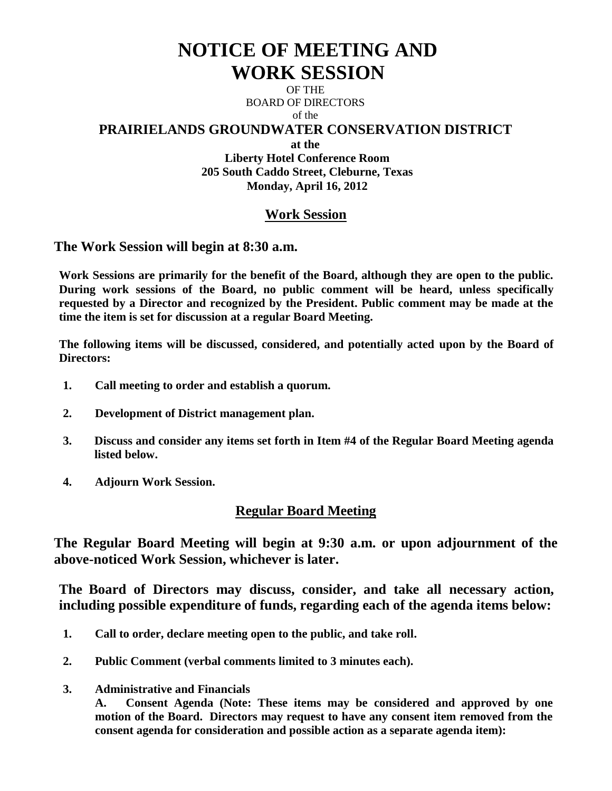# **NOTICE OF MEETING AND WORK SESSION**

OF THE BOARD OF DIRECTORS of the

# **PRAIRIELANDS GROUNDWATER CONSERVATION DISTRICT**

**at the**

**Liberty Hotel Conference Room 205 South Caddo Street, Cleburne, Texas Monday, April 16, 2012**

# **Work Session**

**The Work Session will begin at 8:30 a.m.**

**Work Sessions are primarily for the benefit of the Board, although they are open to the public. During work sessions of the Board, no public comment will be heard, unless specifically requested by a Director and recognized by the President. Public comment may be made at the time the item is set for discussion at a regular Board Meeting.**

**The following items will be discussed, considered, and potentially acted upon by the Board of Directors:** 

- **1. Call meeting to order and establish a quorum.**
- **2. Development of District management plan.**
- **3. Discuss and consider any items set forth in Item #4 of the Regular Board Meeting agenda listed below.**
- **4. Adjourn Work Session.**

# **Regular Board Meeting**

**The Regular Board Meeting will begin at 9:30 a.m. or upon adjournment of the above-noticed Work Session, whichever is later.**

**The Board of Directors may discuss, consider, and take all necessary action, including possible expenditure of funds, regarding each of the agenda items below:**

- **1. Call to order, declare meeting open to the public, and take roll.**
- **2. Public Comment (verbal comments limited to 3 minutes each).**
- **3. Administrative and Financials**

**A. Consent Agenda (Note: These items may be considered and approved by one motion of the Board. Directors may request to have any consent item removed from the consent agenda for consideration and possible action as a separate agenda item):**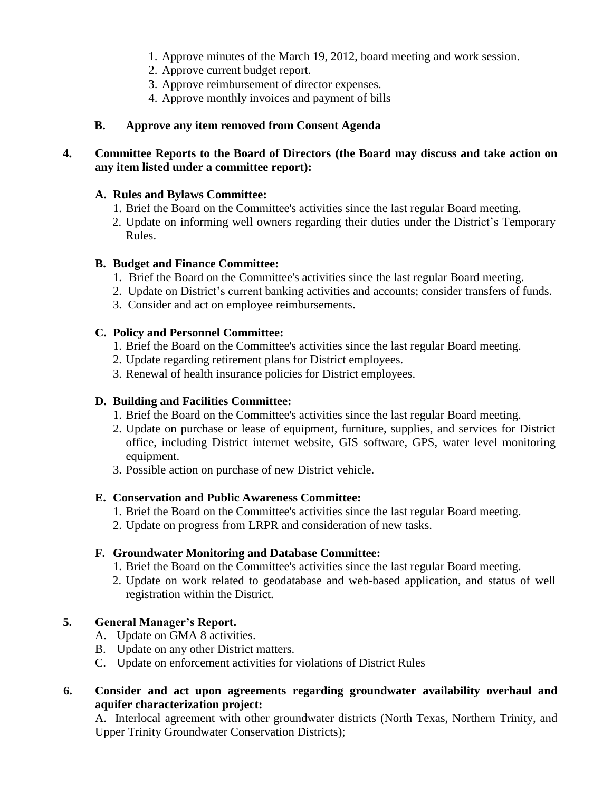- 1. Approve minutes of the March 19, 2012, board meeting and work session.
- 2. Approve current budget report.
- 3. Approve reimbursement of director expenses.
- 4. Approve monthly invoices and payment of bills

#### **B. Approve any item removed from Consent Agenda**

## **4. Committee Reports to the Board of Directors (the Board may discuss and take action on any item listed under a committee report):**

#### **A. Rules and Bylaws Committee:**

- 1. Brief the Board on the Committee's activities since the last regular Board meeting.
- 2. Update on informing well owners regarding their duties under the District's Temporary Rules.

#### **B. Budget and Finance Committee:**

- 1. Brief the Board on the Committee's activities since the last regular Board meeting.
- 2. Update on District's current banking activities and accounts; consider transfers of funds.
- 3. Consider and act on employee reimbursements.

## **C. Policy and Personnel Committee:**

- 1. Brief the Board on the Committee's activities since the last regular Board meeting.
- 2. Update regarding retirement plans for District employees.
- 3. Renewal of health insurance policies for District employees.

## **D. Building and Facilities Committee:**

- 1. Brief the Board on the Committee's activities since the last regular Board meeting.
- 2. Update on purchase or lease of equipment, furniture, supplies, and services for District office, including District internet website, GIS software, GPS, water level monitoring equipment.
- 3. Possible action on purchase of new District vehicle.

#### **E. Conservation and Public Awareness Committee:**

- 1. Brief the Board on the Committee's activities since the last regular Board meeting.
- 2. Update on progress from LRPR and consideration of new tasks.

#### **F. Groundwater Monitoring and Database Committee:**

- 1. Brief the Board on the Committee's activities since the last regular Board meeting.
- 2. Update on work related to geodatabase and web-based application, and status of well registration within the District.

## **5. General Manager's Report.**

- A. Update on GMA 8 activities.
- B. Update on any other District matters.
- C. Update on enforcement activities for violations of District Rules
- **6. Consider and act upon agreements regarding groundwater availability overhaul and aquifer characterization project:**

A. Interlocal agreement with other groundwater districts (North Texas, Northern Trinity, and Upper Trinity Groundwater Conservation Districts);